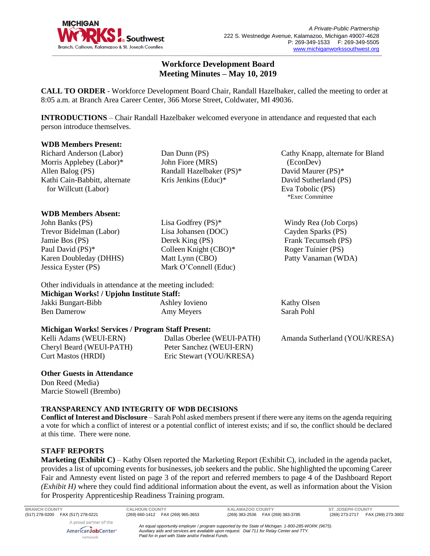

# **Workforce Development Board Meeting Minutes – May 10, 2019**

**CALL TO ORDER** - Workforce Development Board Chair, Randall Hazelbaker, called the meeting to order at 8:05 a.m. at Branch Area Career Center, 366 Morse Street, Coldwater, MI 49036.

**INTRODUCTIONS** – Chair Randall Hazelbaker welcomed everyone in attendance and requested that each person introduce themselves.

> Dan Dunn (PS) John Fiore (MRS)

### **WDB Members Present:**

Richard Anderson (Labor) Morris Applebey (Labor)\* Allen Balog (PS) Kathi Cain-Babbitt, alternate for Willcutt (Labor)

### **WDB Members Absent:**

John Banks (PS) Trevor Bidelman (Labor) Jamie Bos (PS) Paul David (PS)\* Karen Doubleday (DHHS) Jessica Eyster (PS)

Lisa Godfrey (PS)\* Lisa Johansen (DOC) Derek King (PS) Colleen Knight (CBO)\* Matt Lynn (CBO) Mark O'Connell (Educ)

Randall Hazelbaker (PS)\* Kris Jenkins (Educ)\*

Cathy Knapp, alternate for Bland (EconDev) David Maurer (PS)\* David Sutherland (PS) Eva Tobolic (PS) \*Exec Committee

Windy Rea (Job Corps) Cayden Sparks (PS) Frank Tecumseh (PS) Roger Tuinier (PS) Patty Vanaman (WDA)

Kathy Olsen Sarah Pohl

Other individuals in attendance at the meeting included: **Michigan Works! / Upjohn Institute Staff:** Jakki Bungart-Bibb Ben Damerow Ashley Iovieno Amy Meyers

#### **Michigan Works! Services / Program Staff Present:**

Kelli Adams (WEUI-ERN) Cheryl Beard (WEUI-PATH) Curt Mastos (HRDI)

Dallas Oberlee (WEUI-PATH) Peter Sanchez (WEUI-ERN) Eric Stewart (YOU/KRESA)

Amanda Sutherland (YOU/KRESA)

#### **Other Guests in Attendance** Don Reed (Media) Marcie Stowell (Brembo)

# **TRANSPARENCY AND INTEGRITY OF WDB DECISIONS**

**Conflict of Interest and Disclosure** – Sarah Pohl asked members present if there were any items on the agenda requiring a vote for which a conflict of interest or a potential conflict of interest exists; and if so, the conflict should be declared at this time. There were none.

# **STAFF REPORTS**

**Marketing (Exhibit C)** – Kathy Olsen reported the Marketing Report (Exhibit C), included in the agenda packet, provides a list of upcoming events for businesses, job seekers and the public. She highlighted the upcoming Career Fair and Amnesty event listed on page 3 of the report and referred members to page 4 of the Dashboard Report *(Exhibit H)* where they could find additional information about the event, as well as information about the Vision for Prosperity Apprenticeship Readiness Training program.

| <b>BRANCH COUNTY</b>                                                | <b>CALHOUN COUNTY</b>                             | <b>KALAMAZOO COUNTY</b>                                                                                                                                                                          | <b>ST. JOSEPH COUNTY</b>             |
|---------------------------------------------------------------------|---------------------------------------------------|--------------------------------------------------------------------------------------------------------------------------------------------------------------------------------------------------|--------------------------------------|
| (517) 278-0200 FAX (517) 278-0221                                   | (269) 660-1412 FAX (269) 965-3653                 | FAX (269) 383-3785<br>(269) 383-2536                                                                                                                                                             | FAX (269) 273-3002<br>(269) 273-2717 |
| A proud partner of the<br>AmericanJobCenter <sup>®</sup><br>network | Paid for in part with State and/or Federal Funds. | An equal opportunity employer / program supported by the State of Michigan. 1-800-285-WORK (9675).<br>Auxiliary aids and services are available upon request. Dial 711 for Relay Center and TTY. |                                      |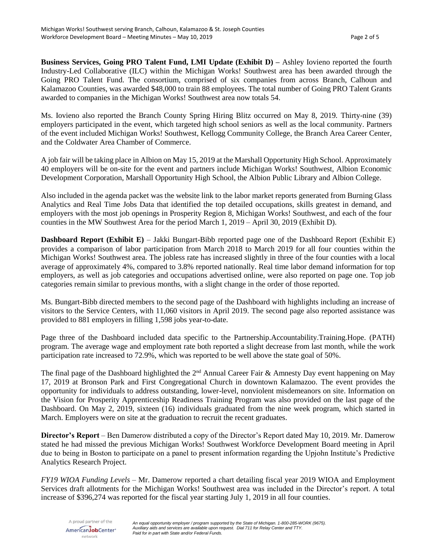**Business Services, Going PRO Talent Fund, LMI Update (Exhibit D) –** Ashley Iovieno reported the fourth Industry-Led Collaborative (ILC) within the Michigan Works! Southwest area has been awarded through the Going PRO Talent Fund. The consortium, comprised of six companies from across Branch, Calhoun and Kalamazoo Counties, was awarded \$48,000 to train 88 employees. The total number of Going PRO Talent Grants awarded to companies in the Michigan Works! Southwest area now totals 54.

Ms. Iovieno also reported the Branch County Spring Hiring Blitz occurred on May 8, 2019. Thirty-nine (39) employers participated in the event, which targeted high school seniors as well as the local community. Partners of the event included Michigan Works! Southwest, Kellogg Community College, the Branch Area Career Center, and the Coldwater Area Chamber of Commerce.

A job fair will be taking place in Albion on May 15, 2019 at the Marshall Opportunity High School. Approximately 40 employers will be on-site for the event and partners include Michigan Works! Southwest, Albion Economic Development Corporation, Marshall Opportunity High School, the Albion Public Library and Albion College.

Also included in the agenda packet was the website link to the labor market reports generated from Burning Glass Analytics and Real Time Jobs Data that identified the top detailed occupations, skills greatest in demand, and employers with the most job openings in Prosperity Region 8, Michigan Works! Southwest, and each of the four counties in the MW Southwest Area for the period March 1, 2019 – April 30, 2019 (Exhibit D).

**Dashboard Report (Exhibit E)** – Jakki Bungart-Bibb reported page one of the Dashboard Report (Exhibit E) provides a comparison of labor participation from March 2018 to March 2019 for all four counties within the Michigan Works! Southwest area. The jobless rate has increased slightly in three of the four counties with a local average of approximately 4%, compared to 3.8% reported nationally. Real time labor demand information for top employers, as well as job categories and occupations advertised online, were also reported on page one. Top job categories remain similar to previous months, with a slight change in the order of those reported.

Ms. Bungart-Bibb directed members to the second page of the Dashboard with highlights including an increase of visitors to the Service Centers, with 11,060 visitors in April 2019. The second page also reported assistance was provided to 881 employers in filling 1,598 jobs year-to-date.

Page three of the Dashboard included data specific to the Partnership.Accountability.Training.Hope. (PATH) program. The average wage and employment rate both reported a slight decrease from last month, while the work participation rate increased to 72.9%, which was reported to be well above the state goal of 50%.

The final page of the Dashboard highlighted the 2<sup>nd</sup> Annual Career Fair & Amnesty Day event happening on May 17, 2019 at Bronson Park and First Congregational Church in downtown Kalamazoo. The event provides the opportunity for individuals to address outstanding, lower-level, nonviolent misdemeanors on site. Information on the Vision for Prosperity Apprenticeship Readiness Training Program was also provided on the last page of the Dashboard. On May 2, 2019, sixteen (16) individuals graduated from the nine week program, which started in March. Employers were on site at the graduation to recruit the recent graduates.

**Director's Report** – Ben Damerow distributed a copy of the Director's Report dated May 10, 2019. Mr. Damerow stated he had missed the previous Michigan Works! Southwest Workforce Development Board meeting in April due to being in Boston to participate on a panel to present information regarding the Upjohn Institute's Predictive Analytics Research Project.

*FY19 WIOA Funding Levels* – Mr. Damerow reported a chart detailing fiscal year 2019 WIOA and Employment Services draft allotments for the Michigan Works! Southwest area was included in the Director's report. A total increase of \$396,274 was reported for the fiscal year starting July 1, 2019 in all four counties.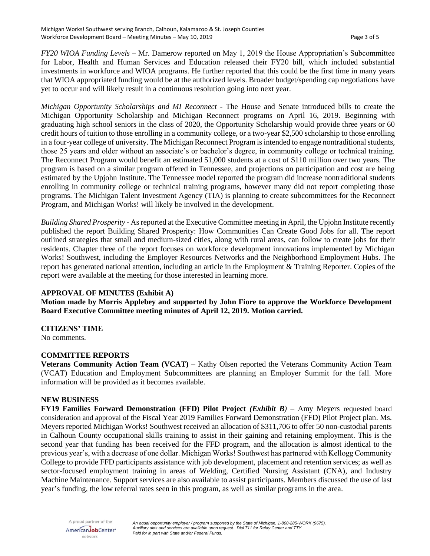*FY20 WIOA Funding Levels* – Mr. Damerow reported on May 1, 2019 the House Appropriation's Subcommittee for Labor, Health and Human Services and Education released their FY20 bill, which included substantial investments in workforce and WIOA programs. He further reported that this could be the first time in many years that WIOA appropriated funding would be at the authorized levels. Broader budget/spending cap negotiations have yet to occur and will likely result in a continuous resolution going into next year.

*Michigan Opportunity Scholarships and MI Reconnect -* The House and Senate introduced bills to create the Michigan Opportunity Scholarship and Michigan Reconnect programs on April 16, 2019. Beginning with graduating high school seniors in the class of 2020, the Opportunity Scholarship would provide three years or 60 credit hours of tuition to those enrolling in a community college, or a two-year \$2,500 scholarship to those enrolling in a four-year college of university. The Michigan Reconnect Program is intended to engage nontraditional students, those 25 years and older without an associate's or bachelor's degree, in community college or technical training. The Reconnect Program would benefit an estimated 51,000 students at a cost of \$110 million over two years. The program is based on a similar program offered in Tennessee, and projections on participation and cost are being estimated by the Upjohn Institute. The Tennessee model reported the program did increase nontraditional students enrolling in community college or technical training programs, however many did not report completing those programs. The Michigan Talent Investment Agency (TIA) is planning to create subcommittees for the Reconnect Program, and Michigan Works! will likely be involved in the development.

*Building Shared Prosperity -* As reported at the Executive Committee meeting in April, the Upjohn Institute recently published the report Building Shared Prosperity: How Communities Can Create Good Jobs for all. The report outlined strategies that small and medium-sized cities, along with rural areas, can follow to create jobs for their residents. Chapter three of the report focuses on workforce development innovations implemented by Michigan Works! Southwest, including the Employer Resources Networks and the Neighborhood Employment Hubs. The report has generated national attention, including an article in the Employment & Training Reporter. Copies of the report were available at the meeting for those interested in learning more.

# **APPROVAL OF MINUTES (Exhibit A)**

**Motion made by Morris Applebey and supported by John Fiore to approve the Workforce Development Board Executive Committee meeting minutes of April 12, 2019. Motion carried.** 

# **CITIZENS' TIME**

No comments.

# **COMMITTEE REPORTS**

**Veterans Community Action Team (VCAT)** – Kathy Olsen reported the Veterans Community Action Team (VCAT) Education and Employment Subcommittees are planning an Employer Summit for the fall. More information will be provided as it becomes available.

# **NEW BUSINESS**

**FY19 Families Forward Demonstration (FFD) Pilot Project** *(Exhibit B)* – Amy Meyers requested board consideration and approval of the Fiscal Year 2019 Families Forward Demonstration (FFD) Pilot Project plan. Ms. Meyers reported Michigan Works! Southwest received an allocation of \$311,706 to offer 50 non-custodial parents in Calhoun County occupational skills training to assist in their gaining and retaining employment. This is the second year that funding has been received for the FFD program, and the allocation is almost identical to the previous year's, with a decrease of one dollar. Michigan Works! Southwest has partnered with Kellogg Community College to provide FFD participants assistance with job development, placement and retention services; as well as sector-focused employment training in areas of Welding, Certified Nursing Assistant (CNA), and Industry Machine Maintenance. Support services are also available to assist participants. Members discussed the use of last year's funding, the low referral rates seen in this program, as well as similar programs in the area.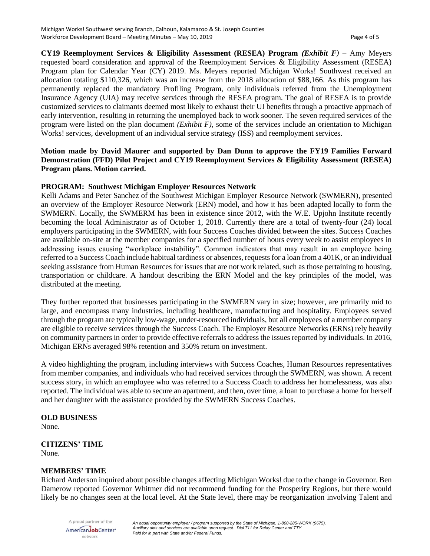**CY19 Reemployment Services & Eligibility Assessment (RESEA) Program** *(Exhibit F)* – Amy Meyers requested board consideration and approval of the Reemployment Services & Eligibility Assessment (RESEA) Program plan for Calendar Year (CY) 2019. Ms. Meyers reported Michigan Works! Southwest received an allocation totaling \$110,326, which was an increase from the 2018 allocation of \$88,166. As this program has permanently replaced the mandatory Profiling Program, only individuals referred from the Unemployment Insurance Agency (UIA) may receive services through the RESEA program. The goal of RESEA is to provide customized services to claimants deemed most likely to exhaust their UI benefits through a proactive approach of early intervention, resulting in returning the unemployed back to work sooner. The seven required services of the program were listed on the plan document *(Exhibit F),* some of the services include an orientation to Michigan Works! services, development of an individual service strategy (ISS) and reemployment services.

# **Motion made by David Maurer and supported by Dan Dunn to approve the FY19 Families Forward Demonstration (FFD) Pilot Project and CY19 Reemployment Services & Eligibility Assessment (RESEA) Program plans. Motion carried.**

# **PROGRAM: Southwest Michigan Employer Resources Network**

Kelli Adams and Peter Sanchez of the Southwest Michigan Employer Resource Network (SWMERN), presented an overview of the Employer Resource Network (ERN) model, and how it has been adapted locally to form the SWMERN. Locally, the SWMERM has been in existence since 2012, with the W.E. Upjohn Institute recently becoming the local Administrator as of October 1, 2018. Currently there are a total of twenty-four (24) local employers participating in the SWMERN, with four Success Coaches divided between the sites. Success Coaches are available on-site at the member companies for a specified number of hours every week to assist employees in addressing issues causing "workplace instability". Common indicators that may result in an employee being referred to a Success Coach include habitual tardiness or absences, requests for a loan from a 401K, or an individual seeking assistance from Human Resources for issues that are not work related, such as those pertaining to housing, transportation or childcare. A handout describing the ERN Model and the key principles of the model, was distributed at the meeting.

They further reported that businesses participating in the SWMERN vary in size; however, are primarily mid to large, and encompass many industries, including healthcare, manufacturing and hospitality. Employees served through the program are typically low-wage, under-resourced individuals, but all employees of a member company are eligible to receive services through the Success Coach. The Employer Resource Networks (ERNs) rely heavily on community partners in order to provide effective referrals to address the issues reported by individuals. In 2016, Michigan ERNs averaged 98% retention and 350% return on investment.

A video highlighting the program, including interviews with Success Coaches, Human Resources representatives from member companies, and individuals who had received services through the SWMERN, was shown. A recent success story, in which an employee who was referred to a Success Coach to address her homelessness, was also reported. The individual was able to secure an apartment, and then, over time, a loan to purchase a home for herself and her daughter with the assistance provided by the SWMERN Success Coaches.

# **OLD BUSINESS**

None.

### **CITIZENS' TIME** None.

# **MEMBERS' TIME**

Richard Anderson inquired about possible changes affecting Michigan Works! due to the change in Governor. Ben Damerow reported Governor Whitmer did not recommend funding for the Prosperity Regions, but there would likely be no changes seen at the local level. At the State level, there may be reorganization involving Talent and